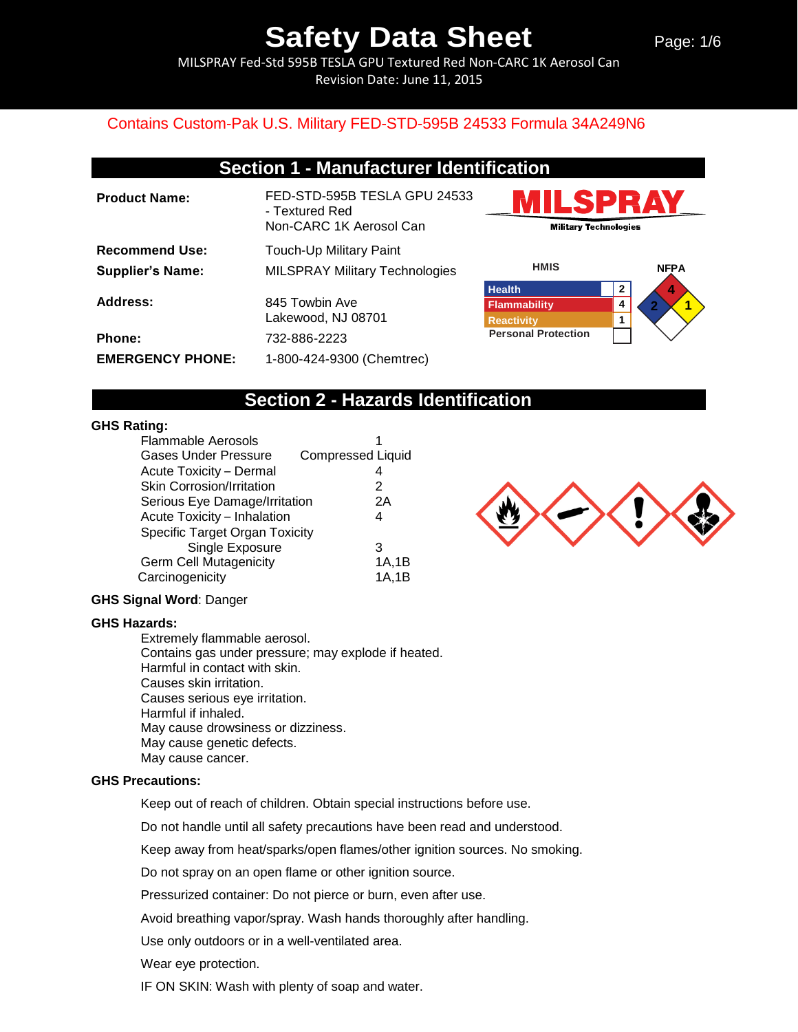MILSPRAY Fed-Std 595B TESLA GPU Textured Red Non-CARC 1K Aerosol Can Revision Date: June 11, 2015

### Contains Custom-Pak U.S. Military FED-STD-595B 24533 Formula 34A249N6

### **Section 1 - Manufacturer Identification**

**Product Name:** FED-STD-595B TESLA GPU 24533 - Textured Red Non-CARC 1K Aerosol Can **Recommend Use:** Touch-Up Military Paint **Supplier's Name:** MILSPRAY Military Technologies Address: 845 Towbin Ave Lakewood, NJ 08701 **Phone:** 732-886-2223 **EMERGENCY PHONE:** 1-800-424-9300 (Chemtrec)





## **Section 2 - Hazards Identification**

#### **GHS Rating:**

| Flammable Aerosols               |                          |
|----------------------------------|--------------------------|
| <b>Gases Under Pressure</b>      | <b>Compressed Liquid</b> |
| Acute Toxicity - Dermal          |                          |
| <b>Skin Corrosion/Irritation</b> | 2                        |
| Serious Eye Damage/Irritation    | 2A                       |
| Acute Toxicity - Inhalation      | 4                        |
| Specific Target Organ Toxicity   |                          |
| Single Exposure                  | 3                        |
| <b>Germ Cell Mutagenicity</b>    | 1A, 1B                   |
| Carcinogenicity                  | 1A,1B                    |

#### **GHS Signal Word**: Danger

#### **GHS Hazards:**

Extremely flammable aerosol. Contains gas under pressure; may explode if heated. Harmful in contact with skin. Causes skin irritation. Causes serious eye irritation. Harmful if inhaled. May cause drowsiness or dizziness. May cause genetic defects. May cause cancer.

#### **GHS Precautions:**

Keep out of reach of children. Obtain special instructions before use.

Do not handle until all safety precautions have been read and understood.

Keep away from heat/sparks/open flames/other ignition sources. No smoking.

Do not spray on an open flame or other ignition source.

Pressurized container: Do not pierce or burn, even after use.

Avoid breathing vapor/spray. Wash hands thoroughly after handling.

Use only outdoors or in a well-ventilated area.

Wear eye protection.

IF ON SKIN: Wash with plenty of soap and water.

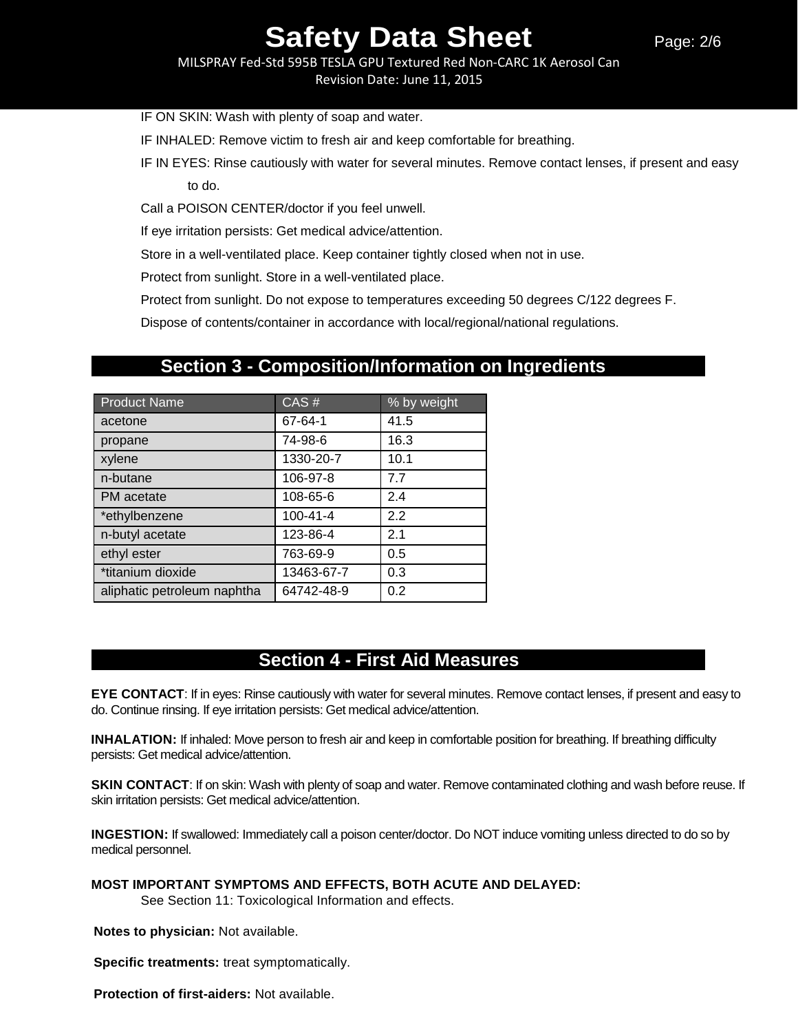MILSPRAY Fed-Std 595B TESLA GPU Textured Red Non-CARC 1K Aerosol Can Revision Date: June 11, 2015

IF ON SKIN: Wash with plenty of soap and water.

IF INHALED: Remove victim to fresh air and keep comfortable for breathing.

IF IN EYES: Rinse cautiously with water for several minutes. Remove contact lenses, if present and easy to do.

Call a POISON CENTER/doctor if you feel unwell.

If eye irritation persists: Get medical advice/attention.

Store in a well-ventilated place. Keep container tightly closed when not in use.

Protect from sunlight. Store in a well-ventilated place.

Protect from sunlight. Do not expose to temperatures exceeding 50 degrees C/122 degrees F.

Dispose of contents/container in accordance with local/regional/national regulations.

## **Section 3 - Composition/Information on Ingredients**

| <b>Product Name</b>         | CAS#       | % by weight |
|-----------------------------|------------|-------------|
| acetone                     | 67-64-1    | 41.5        |
| propane                     | 74-98-6    | 16.3        |
| xylene                      | 1330-20-7  | 10.1        |
| n-butane                    | 106-97-8   | 7.7         |
| PM acetate                  | 108-65-6   | 2.4         |
| *ethylbenzene               | 100-41-4   | 2.2         |
| n-butyl acetate             | 123-86-4   | 2.1         |
| ethyl ester                 | 763-69-9   | 0.5         |
| *titanium dioxide           | 13463-67-7 | 0.3         |
| aliphatic petroleum naphtha | 64742-48-9 | 0.2         |

## **Section 4 - First Aid Measures**

**EYE CONTACT**: If in eyes: Rinse cautiously with water for several minutes. Remove contact lenses, if present and easy to do. Continue rinsing. If eye irritation persists: Get medical advice/attention.

**INHALATION:** If inhaled: Move person to fresh air and keep in comfortable position for breathing. If breathing difficulty persists: Get medical advice/attention.

**SKIN CONTACT**: If on skin: Wash with plenty of soap and water. Remove contaminated clothing and wash before reuse. If skin irritation persists: Get medical advice/attention.

**INGESTION:** If swallowed: Immediately call a poison center/doctor. Do NOT induce vomiting unless directed to do so by medical personnel.

**MOST IMPORTANT SYMPTOMS AND EFFECTS, BOTH ACUTE AND DELAYED:** 

See Section 11: Toxicological Information and effects.

**Notes to physician:** Not available.

**Specific treatments:** treat symptomatically.

**Protection of first-aiders:** Not available.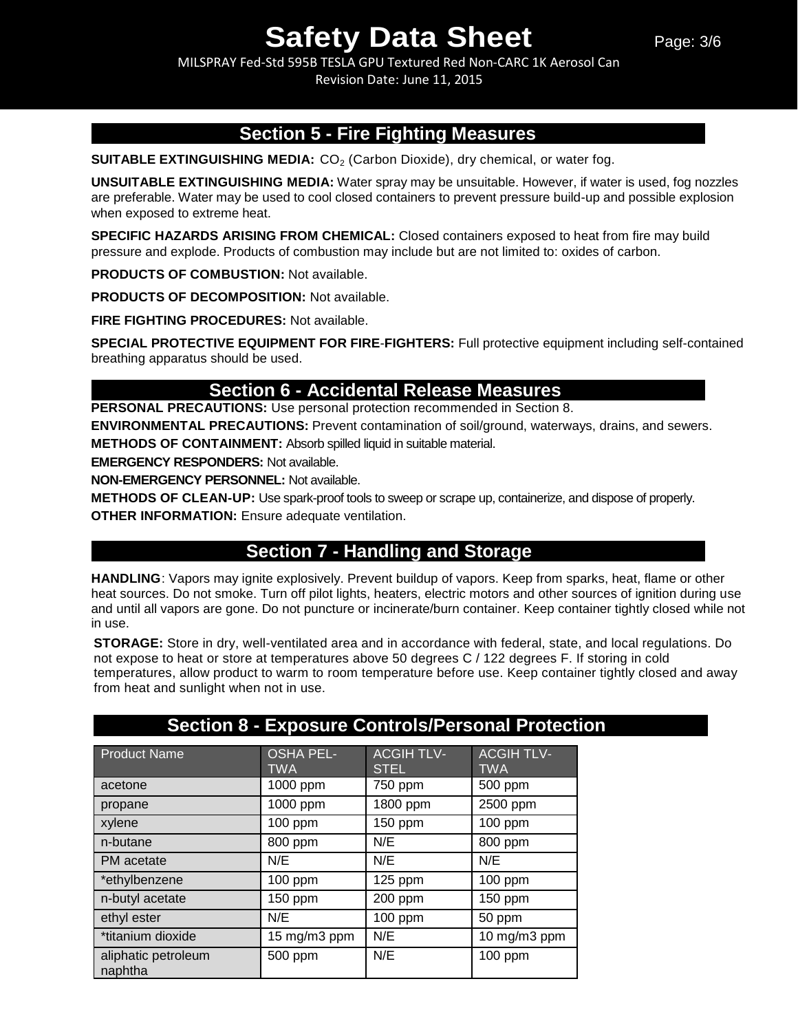MILSPRAY Fed-Std 595B TESLA GPU Textured Red Non-CARC 1K Aerosol Can Revision Date: June 11, 2015

## **Section 5 - Fire Fighting Measures**

**SUITABLE EXTINGUISHING MEDIA:** CO<sub>2</sub> (Carbon Dioxide), dry chemical, or water fog.

**UNSUITABLE EXTINGUISHING MEDIA:** Water spray may be unsuitable. However, if water is used, fog nozzles are preferable. Water may be used to cool closed containers to prevent pressure build-up and possible explosion when exposed to extreme heat.

**SPECIFIC HAZARDS ARISING FROM CHEMICAL:** Closed containers exposed to heat from fire may build pressure and explode. Products of combustion may include but are not limited to: oxides of carbon.

**PRODUCTS OF COMBUSTION:** Not available.

**PRODUCTS OF DECOMPOSITION:** Not available.

**FIRE FIGHTING PROCEDURES:** Not available.

**SPECIAL PROTECTIVE EQUIPMENT FOR FIRE**-**FIGHTERS:** Full protective equipment including self-contained breathing apparatus should be used.

## **Section 6 - Accidental Release Measures**

**PERSONAL PRECAUTIONS:** Use personal protection recommended in Section 8.

**ENVIRONMENTAL PRECAUTIONS:** Prevent contamination of soil/ground, waterways, drains, and sewers. **METHODS OF CONTAINMENT:** Absorb spilled liquid in suitable material.

**EMERGENCY RESPONDERS:** Not available.

**NON-EMERGENCY PERSONNEL:** Not available.

**METHODS OF CLEAN-UP:** Use spark-proof tools to sweep or scrape up, containerize, and dispose of properly. **OTHER INFORMATION:** Ensure adequate ventilation.

## **Section 7 - Handling and Storage**

**HANDLING**: Vapors may ignite explosively. Prevent buildup of vapors. Keep from sparks, heat, flame or other heat sources. Do not smoke. Turn off pilot lights, heaters, electric motors and other sources of ignition during use and until all vapors are gone. Do not puncture or incinerate/burn container. Keep container tightly closed while not in use.

**STORAGE:** Store in dry, well-ventilated area and in accordance with federal, state, and local regulations. Do not expose to heat or store at temperatures above 50 degrees C / 122 degrees F. If storing in cold temperatures, allow product to warm to room temperature before use. Keep container tightly closed and away from heat and sunlight when not in use.

|                                |                         |                                 | <b>Section 8 - Exposure Controls/Personal Protection</b> |
|--------------------------------|-------------------------|---------------------------------|----------------------------------------------------------|
| <b>Product Name</b>            | <b>OSHA PEL-</b><br>TWA | <b>ACGIHTLV-</b><br><b>STEL</b> | <b>ACGIH TLV-</b><br><b>TWA</b>                          |
| acetone                        | 1000 ppm                | 750 ppm                         | 500 ppm                                                  |
| propane                        | 1000 ppm                | 1800 ppm                        | 2500 ppm                                                 |
| xylene                         | $100$ ppm               | 150 ppm                         | $100$ ppm                                                |
| n-butane                       | 800 ppm                 | N/E                             | 800 ppm                                                  |
| PM acetate                     | N/E                     | N/E                             | N/E                                                      |
| *ethylbenzene                  | 100 ppm                 | $125$ ppm                       | 100 ppm                                                  |
| n-butyl acetate                | 150 ppm                 | 200 ppm                         | $150$ ppm                                                |
| ethyl ester                    | N/E                     | $100$ ppm                       | 50 ppm                                                   |
| *titanium dioxide              | 15 mg/m3 ppm            | N/E                             | 10 mg/m3 ppm                                             |
| aliphatic petroleum<br>naphtha | 500 ppm                 | N/E                             | $100$ ppm                                                |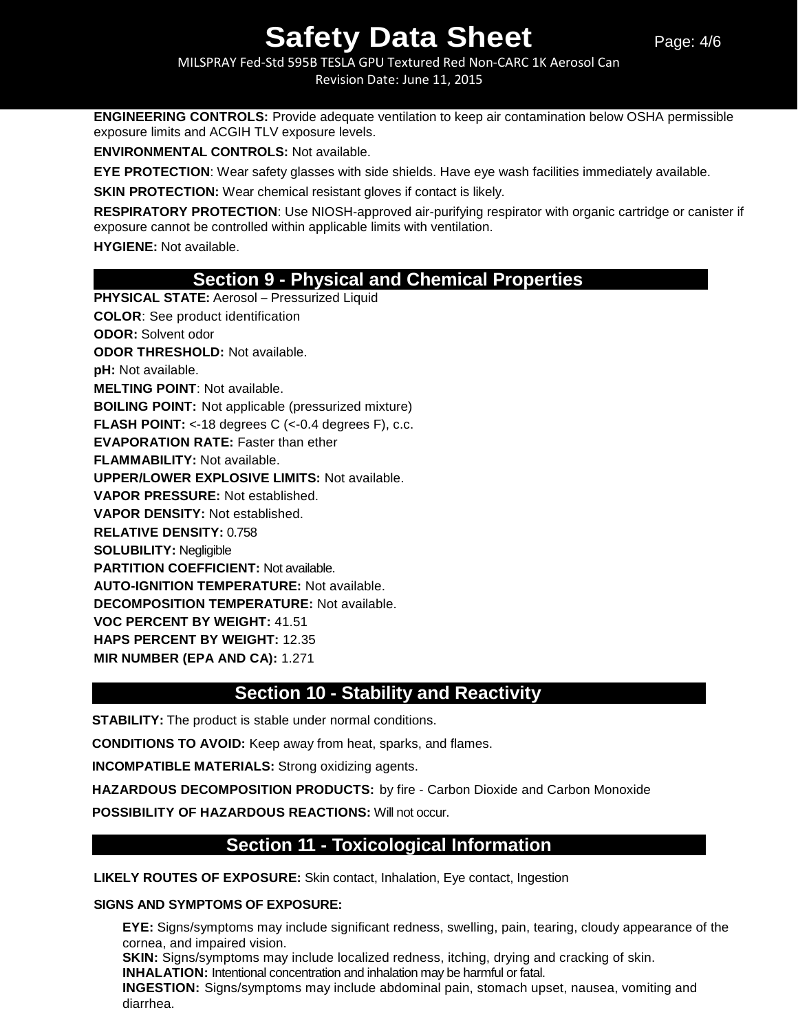#### MILSPRAY Fed-Std 595B TESLA GPU Textured Red Non-CARC 1K Aerosol Can Revision Date: June 11, 2015

**ENGINEERING CONTROLS:** Provide adequate ventilation to keep air contamination below OSHA permissible exposure limits and ACGIH TLV exposure levels.

**ENVIRONMENTAL CONTROLS:** Not available.

**EYE PROTECTION**: Wear safety glasses with side shields. Have eye wash facilities immediately available.

**SKIN PROTECTION:** Wear chemical resistant gloves if contact is likely.

**RESPIRATORY PROTECTION**: Use NIOSH-approved air-purifying respirator with organic cartridge or canister if exposure cannot be controlled within applicable limits with ventilation.

**HYGIENE:** Not available.

## **Section 9 - Physical and Chemical Properties**

**PHYSICAL STATE:** Aerosol – Pressurized Liquid **COLOR**: See product identification **ODOR:** Solvent odor **ODOR THRESHOLD:** Not available. **pH:** Not available. **MELTING POINT**: Not available. **BOILING POINT:** Not applicable (pressurized mixture) **FLASH POINT:** <-18 degrees C (<-0.4 degrees F), c.c. **EVAPORATION RATE:** Faster than ether **FLAMMABILITY:** Not available. **UPPER/LOWER EXPLOSIVE LIMITS:** Not available. **VAPOR PRESSURE:** Not established. **VAPOR DENSITY:** Not established. **RELATIVE DENSITY:** 0.758 **SOLUBILITY:** Negligible **PARTITION COEFFICIENT:** Not available. **AUTO-IGNITION TEMPERATURE:** Not available. **DECOMPOSITION TEMPERATURE:** Not available. **VOC PERCENT BY WEIGHT:** 41.51 **HAPS PERCENT BY WEIGHT:** 12.35 **MIR NUMBER (EPA AND CA):** 1.271

## **Section 10 - Stability and Reactivity**

**STABILITY:** The product is stable under normal conditions.

**CONDITIONS TO AVOID:** Keep away from heat, sparks, and flames.

**INCOMPATIBLE MATERIALS:** Strong oxidizing agents.

**HAZARDOUS DECOMPOSITION PRODUCTS:** by fire - Carbon Dioxide and Carbon Monoxide

**POSSIBILITY OF HAZARDOUS REACTIONS:** Will not occur.

## **Section 11 - Toxicological Information**

**LIKELY ROUTES OF EXPOSURE:** Skin contact, Inhalation, Eye contact, Ingestion

#### **SIGNS AND SYMPTOMS OF EXPOSURE:**

**EYE:** Signs/symptoms may include significant redness, swelling, pain, tearing, cloudy appearance of the cornea, and impaired vision.

**SKIN:** Signs/symptoms may include localized redness, itching, drying and cracking of skin.

**INHALATION:** Intentional concentration and inhalation may be harmful or fatal.

**INGESTION:** Signs/symptoms may include abdominal pain, stomach upset, nausea, vomiting and diarrhea.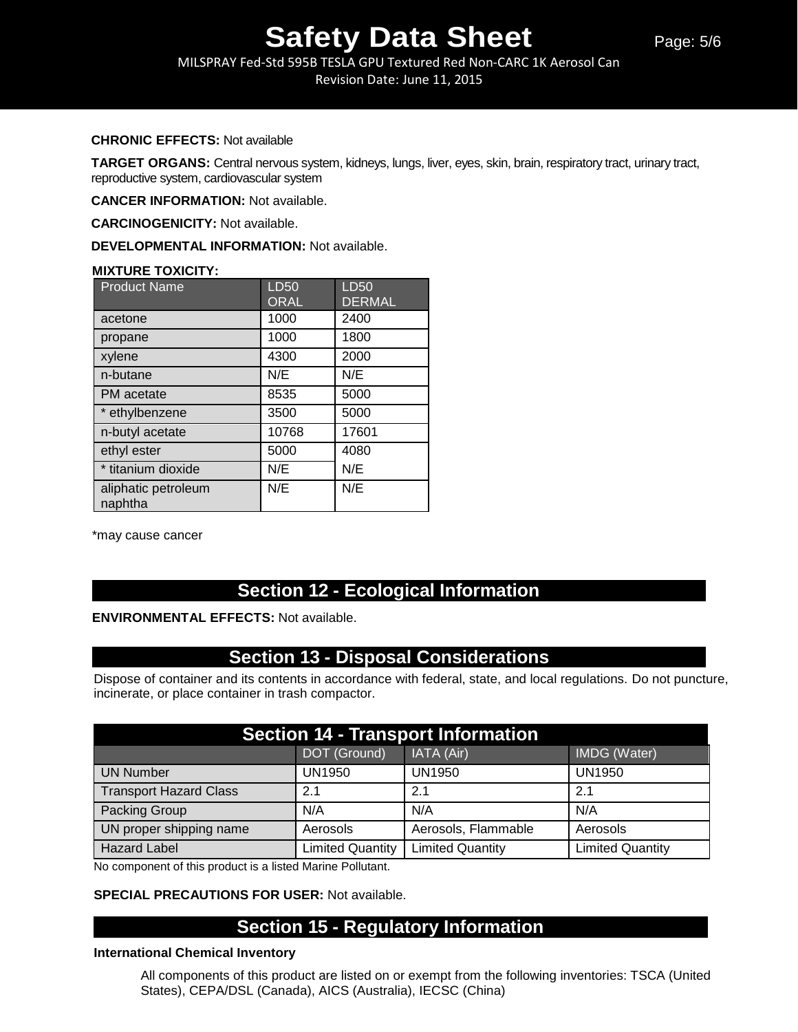MILSPRAY Fed-Std 595B TESLA GPU Textured Red Non-CARC 1K Aerosol Can Revision Date: June 11, 2015

#### **CHRONIC EFFECTS:** Not available

**TARGET ORGANS:** Central nervous system, kidneys, lungs, liver, eyes, skin, brain, respiratory tract, urinary tract, reproductive system, cardiovascular system

**CANCER INFORMATION:** Not available.

**CARCINOGENICITY:** Not available.

**DEVELOPMENTAL INFORMATION:** Not available.

#### **MIXTURE TOXICITY:**

| <b>Product Name</b>            | <b>LD50</b> | LD50          |
|--------------------------------|-------------|---------------|
|                                | <b>ORAL</b> | <b>DERMAL</b> |
| acetone                        | 1000        | 2400          |
| propane                        | 1000        | 1800          |
| xylene                         | 4300        | 2000          |
| n-butane                       | N/E         | N/E           |
| PM acetate                     | 8535        | 5000          |
| * ethylbenzene                 | 3500        | 5000          |
| n-butyl acetate                | 10768       | 17601         |
| ethyl ester                    | 5000        | 4080          |
| * titanium dioxide             | N/E         | N/E           |
| aliphatic petroleum<br>naphtha | N/E         | N/E           |

\*may cause cancer

## **Section 12 - Ecological Information**

#### **ENVIRONMENTAL EFFECTS:** Not available.

## **Section 13 - Disposal Considerations**

Dispose of container and its contents in accordance with federal, state, and local regulations. Do not puncture, incinerate, or place container in trash compactor.

| <b>Section 14 - Transport Information</b> |                         |                         |                         |  |
|-------------------------------------------|-------------------------|-------------------------|-------------------------|--|
|                                           | DOT (Ground)            | IATA (Air)              | IMDG (Water)            |  |
| <b>UN Number</b>                          | UN1950                  | <b>UN1950</b>           | <b>UN1950</b>           |  |
| <b>Transport Hazard Class</b>             | 2.1                     | 2.1                     | 2.1                     |  |
| Packing Group                             | N/A                     | N/A                     | N/A                     |  |
| UN proper shipping name                   | Aerosols                | Aerosols, Flammable     | Aerosols                |  |
| <b>Hazard Label</b>                       | <b>Limited Quantity</b> | <b>Limited Quantity</b> | <b>Limited Quantity</b> |  |

No component of this product is a listed Marine Pollutant.

#### **SPECIAL PRECAUTIONS FOR USER:** Not available.

## **Section 15 - Regulatory Information**

#### **International Chemical Inventory**

All components of this product are listed on or exempt from the following inventories: TSCA (United States), CEPA/DSL (Canada), AICS (Australia), IECSC (China)